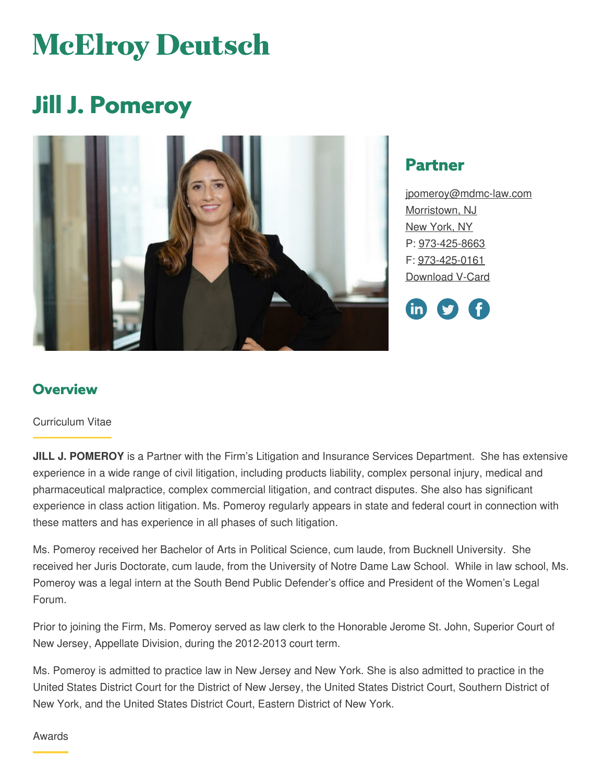# **McElroy Deutsch**

# **Jill J. Pomeroy**



## **Partner**

[jpomeroy@mdmc-law.com](mailto:jpomeroy@mdmc-law.com) [Morristown,](https://www.mdmc-law.com/offices/morristown) NJ New [York,](https://www.mdmc-law.com/offices/new-york) NY P: [973-425-8663](tel:973-425-8663) F: [973-425-0161](tel:973-425-0161) [Download](https://www.mdmc-law.com/node/404/vcard) V-Card

in)

#### **Overview**

#### Curriculum Vitae

**JILL J. POMEROY** is a Partner with the Firm's Litigation and Insurance Services Department. She has extensive experience in a wide range of civil litigation, including products liability, complex personal injury, medical and pharmaceutical malpractice, complex commercial litigation, and contract disputes. She also has significant experience in class action litigation. Ms. Pomeroy regularly appears in state and federal court in connection with these matters and has experience in all phases of such litigation.

Ms. Pomeroy received her Bachelor of Arts in Political Science, cum laude, from Bucknell University. She received her Juris Doctorate, cum laude, from the University of Notre Dame Law School. While in law school, Ms. Pomeroy was a legal intern at the South Bend Public Defender's office and President of the Women's Legal Forum.

Prior to joining the Firm, Ms. Pomeroy served as law clerk to the Honorable Jerome St. John, Superior Court of New Jersey, Appellate Division, during the 2012-2013 court term.

Ms. Pomeroy is admitted to practice law in New Jersey and New York. She is also admitted to practice in the United States District Court for the District of New Jersey, the United States District Court, Southern District of New York, and the United States District Court, Eastern District of New York.

#### Awards